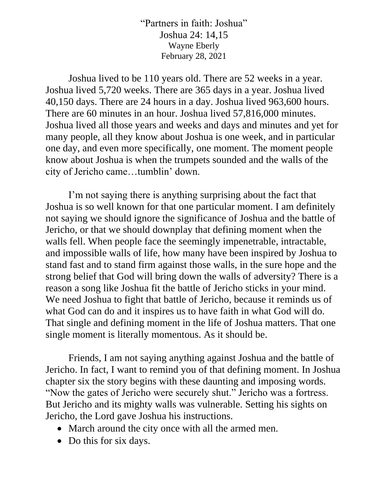"Partners in faith: Joshua" Joshua 24: 14,15 Wayne Eberly February 28, 2021

Joshua lived to be 110 years old. There are 52 weeks in a year. Joshua lived 5,720 weeks. There are 365 days in a year. Joshua lived 40,150 days. There are 24 hours in a day. Joshua lived 963,600 hours. There are 60 minutes in an hour. Joshua lived 57,816,000 minutes. Joshua lived all those years and weeks and days and minutes and yet for many people, all they know about Joshua is one week, and in particular one day, and even more specifically, one moment. The moment people know about Joshua is when the trumpets sounded and the walls of the city of Jericho came…tumblin' down.

I'm not saying there is anything surprising about the fact that Joshua is so well known for that one particular moment. I am definitely not saying we should ignore the significance of Joshua and the battle of Jericho, or that we should downplay that defining moment when the walls fell. When people face the seemingly impenetrable, intractable, and impossible walls of life, how many have been inspired by Joshua to stand fast and to stand firm against those walls, in the sure hope and the strong belief that God will bring down the walls of adversity? There is a reason a song like Joshua fit the battle of Jericho sticks in your mind. We need Joshua to fight that battle of Jericho, because it reminds us of what God can do and it inspires us to have faith in what God will do. That single and defining moment in the life of Joshua matters. That one single moment is literally momentous. As it should be.

Friends, I am not saying anything against Joshua and the battle of Jericho. In fact, I want to remind you of that defining moment. In Joshua chapter six the story begins with these daunting and imposing words. "Now the gates of Jericho were securely shut." Jericho was a fortress. But Jericho and its mighty walls was vulnerable. Setting his sights on Jericho, the Lord gave Joshua his instructions.

- March around the city once with all the armed men.
- Do this for six days.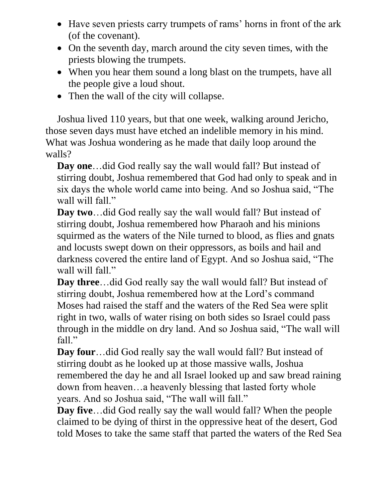- Have seven priests carry trumpets of rams' horns in front of the ark (of the covenant).
- On the seventh day, march around the city seven times, with the priests blowing the trumpets.
- When you hear them sound a long blast on the trumpets, have all the people give a loud shout.
- Then the wall of the city will collapse.

Joshua lived 110 years, but that one week, walking around Jericho, those seven days must have etched an indelible memory in his mind. What was Joshua wondering as he made that daily loop around the walls?

**Day one**…did God really say the wall would fall? But instead of stirring doubt, Joshua remembered that God had only to speak and in six days the whole world came into being. And so Joshua said, "The wall will fall."

**Day two**…did God really say the wall would fall? But instead of stirring doubt, Joshua remembered how Pharaoh and his minions squirmed as the waters of the Nile turned to blood, as flies and gnats and locusts swept down on their oppressors, as boils and hail and darkness covered the entire land of Egypt. And so Joshua said, "The wall will fall."

**Day three**…did God really say the wall would fall? But instead of stirring doubt, Joshua remembered how at the Lord's command Moses had raised the staff and the waters of the Red Sea were split right in two, walls of water rising on both sides so Israel could pass through in the middle on dry land. And so Joshua said, "The wall will fall."

**Day four**…did God really say the wall would fall? But instead of stirring doubt as he looked up at those massive walls, Joshua remembered the day he and all Israel looked up and saw bread raining down from heaven…a heavenly blessing that lasted forty whole years. And so Joshua said, "The wall will fall."

**Day five**…did God really say the wall would fall? When the people claimed to be dying of thirst in the oppressive heat of the desert, God told Moses to take the same staff that parted the waters of the Red Sea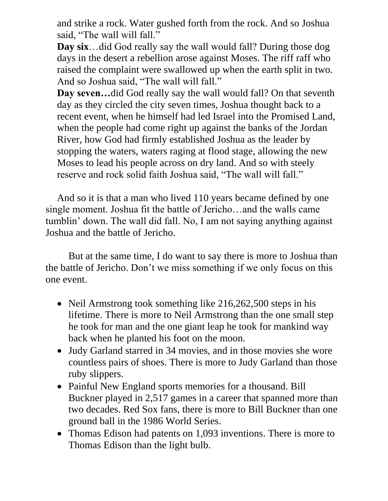and strike a rock. Water gushed forth from the rock. And so Joshua said, "The wall will fall."

**Day six**…did God really say the wall would fall? During those dog days in the desert a rebellion arose against Moses. The riff raff who raised the complaint were swallowed up when the earth split in two. And so Joshua said, "The wall will fall."

**Day seven…**did God really say the wall would fall? On that seventh day as they circled the city seven times, Joshua thought back to a recent event, when he himself had led Israel into the Promised Land, when the people had come right up against the banks of the Jordan River, how God had firmly established Joshua as the leader by stopping the waters, waters raging at flood stage, allowing the new Moses to lead his people across on dry land. And so with steely reserve and rock solid faith Joshua said, "The wall will fall."

And so it is that a man who lived 110 years became defined by one single moment. Joshua fit the battle of Jericho…and the walls came tumblin' down. The wall did fall. No, I am not saying anything against Joshua and the battle of Jericho.

But at the same time, I do want to say there is more to Joshua than the battle of Jericho. Don't we miss something if we only focus on this one event.

- Neil Armstrong took something like 216,262,500 steps in his lifetime. There is more to Neil Armstrong than the one small step he took for man and the one giant leap he took for mankind way back when he planted his foot on the moon.
- Judy Garland starred in 34 movies, and in those movies she wore countless pairs of shoes. There is more to Judy Garland than those ruby slippers.
- Painful New England sports memories for a thousand. Bill Buckner played in 2,517 games in a career that spanned more than two decades. Red Sox fans, there is more to Bill Buckner than one ground ball in the 1986 World Series.
- Thomas Edison had patents on 1,093 inventions. There is more to Thomas Edison than the light bulb.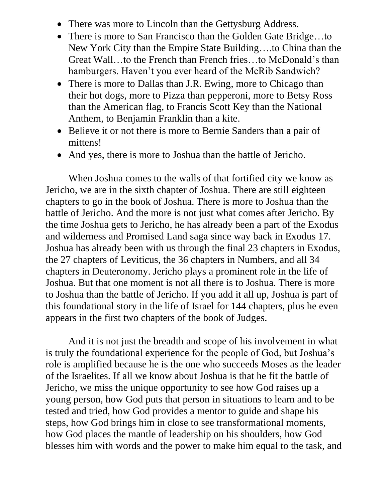- There was more to Lincoln than the Gettysburg Address.
- There is more to San Francisco than the Golden Gate Bridge...to New York City than the Empire State Building….to China than the Great Wall…to the French than French fries…to McDonald's than hamburgers. Haven't you ever heard of the McRib Sandwich?
- There is more to Dallas than J.R. Ewing, more to Chicago than their hot dogs, more to Pizza than pepperoni, more to Betsy Ross than the American flag, to Francis Scott Key than the National Anthem, to Benjamin Franklin than a kite.
- Believe it or not there is more to Bernie Sanders than a pair of mittens!
- And yes, there is more to Joshua than the battle of Jericho.

When Joshua comes to the walls of that fortified city we know as Jericho, we are in the sixth chapter of Joshua. There are still eighteen chapters to go in the book of Joshua. There is more to Joshua than the battle of Jericho. And the more is not just what comes after Jericho. By the time Joshua gets to Jericho, he has already been a part of the Exodus and wilderness and Promised Land saga since way back in Exodus 17. Joshua has already been with us through the final 23 chapters in Exodus, the 27 chapters of Leviticus, the 36 chapters in Numbers, and all 34 chapters in Deuteronomy. Jericho plays a prominent role in the life of Joshua. But that one moment is not all there is to Joshua. There is more to Joshua than the battle of Jericho. If you add it all up, Joshua is part of this foundational story in the life of Israel for 144 chapters, plus he even appears in the first two chapters of the book of Judges.

And it is not just the breadth and scope of his involvement in what is truly the foundational experience for the people of God, but Joshua's role is amplified because he is the one who succeeds Moses as the leader of the Israelites. If all we know about Joshua is that he fit the battle of Jericho, we miss the unique opportunity to see how God raises up a young person, how God puts that person in situations to learn and to be tested and tried, how God provides a mentor to guide and shape his steps, how God brings him in close to see transformational moments, how God places the mantle of leadership on his shoulders, how God blesses him with words and the power to make him equal to the task, and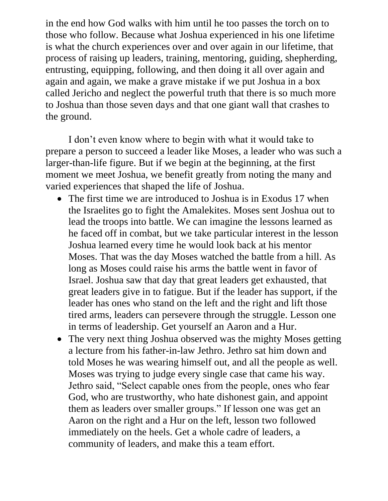in the end how God walks with him until he too passes the torch on to those who follow. Because what Joshua experienced in his one lifetime is what the church experiences over and over again in our lifetime, that process of raising up leaders, training, mentoring, guiding, shepherding, entrusting, equipping, following, and then doing it all over again and again and again, we make a grave mistake if we put Joshua in a box called Jericho and neglect the powerful truth that there is so much more to Joshua than those seven days and that one giant wall that crashes to the ground.

I don't even know where to begin with what it would take to prepare a person to succeed a leader like Moses, a leader who was such a larger-than-life figure. But if we begin at the beginning, at the first moment we meet Joshua, we benefit greatly from noting the many and varied experiences that shaped the life of Joshua.

- The first time we are introduced to Joshua is in Exodus 17 when the Israelites go to fight the Amalekites. Moses sent Joshua out to lead the troops into battle. We can imagine the lessons learned as he faced off in combat, but we take particular interest in the lesson Joshua learned every time he would look back at his mentor Moses. That was the day Moses watched the battle from a hill. As long as Moses could raise his arms the battle went in favor of Israel. Joshua saw that day that great leaders get exhausted, that great leaders give in to fatigue. But if the leader has support, if the leader has ones who stand on the left and the right and lift those tired arms, leaders can persevere through the struggle. Lesson one in terms of leadership. Get yourself an Aaron and a Hur.
- The very next thing Joshua observed was the mighty Moses getting a lecture from his father-in-law Jethro. Jethro sat him down and told Moses he was wearing himself out, and all the people as well. Moses was trying to judge every single case that came his way. Jethro said, "Select capable ones from the people, ones who fear God, who are trustworthy, who hate dishonest gain, and appoint them as leaders over smaller groups." If lesson one was get an Aaron on the right and a Hur on the left, lesson two followed immediately on the heels. Get a whole cadre of leaders, a community of leaders, and make this a team effort.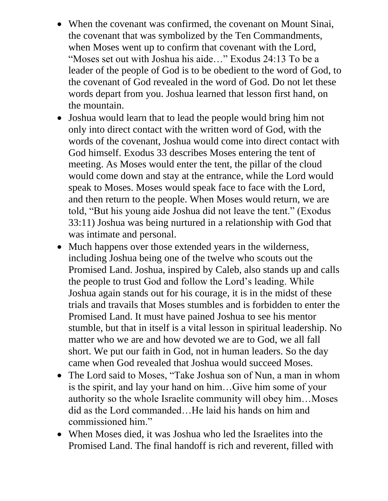- When the covenant was confirmed, the covenant on Mount Sinai, the covenant that was symbolized by the Ten Commandments, when Moses went up to confirm that covenant with the Lord, "Moses set out with Joshua his aide…" Exodus 24:13 To be a leader of the people of God is to be obedient to the word of God, to the covenant of God revealed in the word of God. Do not let these words depart from you. Joshua learned that lesson first hand, on the mountain.
- Joshua would learn that to lead the people would bring him not only into direct contact with the written word of God, with the words of the covenant, Joshua would come into direct contact with God himself. Exodus 33 describes Moses entering the tent of meeting. As Moses would enter the tent, the pillar of the cloud would come down and stay at the entrance, while the Lord would speak to Moses. Moses would speak face to face with the Lord, and then return to the people. When Moses would return, we are told, "But his young aide Joshua did not leave the tent." (Exodus 33:11) Joshua was being nurtured in a relationship with God that was intimate and personal.
- Much happens over those extended years in the wilderness, including Joshua being one of the twelve who scouts out the Promised Land. Joshua, inspired by Caleb, also stands up and calls the people to trust God and follow the Lord's leading. While Joshua again stands out for his courage, it is in the midst of these trials and travails that Moses stumbles and is forbidden to enter the Promised Land. It must have pained Joshua to see his mentor stumble, but that in itself is a vital lesson in spiritual leadership. No matter who we are and how devoted we are to God, we all fall short. We put our faith in God, not in human leaders. So the day came when God revealed that Joshua would succeed Moses.
- The Lord said to Moses, "Take Joshua son of Nun, a man in whom is the spirit, and lay your hand on him…Give him some of your authority so the whole Israelite community will obey him…Moses did as the Lord commanded…He laid his hands on him and commissioned him."
- When Moses died, it was Joshua who led the Israelites into the Promised Land. The final handoff is rich and reverent, filled with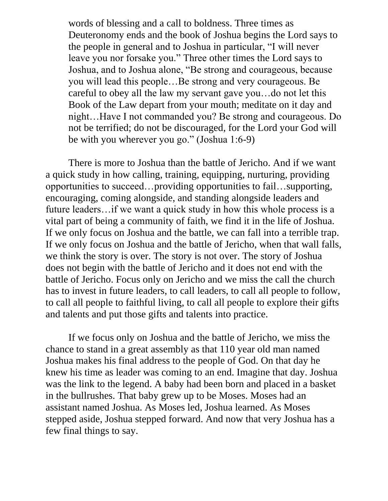words of blessing and a call to boldness. Three times as Deuteronomy ends and the book of Joshua begins the Lord says to the people in general and to Joshua in particular, "I will never leave you nor forsake you." Three other times the Lord says to Joshua, and to Joshua alone, "Be strong and courageous, because you will lead this people…Be strong and very courageous. Be careful to obey all the law my servant gave you…do not let this Book of the Law depart from your mouth; meditate on it day and night…Have I not commanded you? Be strong and courageous. Do not be terrified; do not be discouraged, for the Lord your God will be with you wherever you go." (Joshua 1:6-9)

There is more to Joshua than the battle of Jericho. And if we want a quick study in how calling, training, equipping, nurturing, providing opportunities to succeed…providing opportunities to fail…supporting, encouraging, coming alongside, and standing alongside leaders and future leaders…if we want a quick study in how this whole process is a vital part of being a community of faith, we find it in the life of Joshua. If we only focus on Joshua and the battle, we can fall into a terrible trap. If we only focus on Joshua and the battle of Jericho, when that wall falls, we think the story is over. The story is not over. The story of Joshua does not begin with the battle of Jericho and it does not end with the battle of Jericho. Focus only on Jericho and we miss the call the church has to invest in future leaders, to call leaders, to call all people to follow, to call all people to faithful living, to call all people to explore their gifts and talents and put those gifts and talents into practice.

If we focus only on Joshua and the battle of Jericho, we miss the chance to stand in a great assembly as that 110 year old man named Joshua makes his final address to the people of God. On that day he knew his time as leader was coming to an end. Imagine that day. Joshua was the link to the legend. A baby had been born and placed in a basket in the bullrushes. That baby grew up to be Moses. Moses had an assistant named Joshua. As Moses led, Joshua learned. As Moses stepped aside, Joshua stepped forward. And now that very Joshua has a few final things to say.